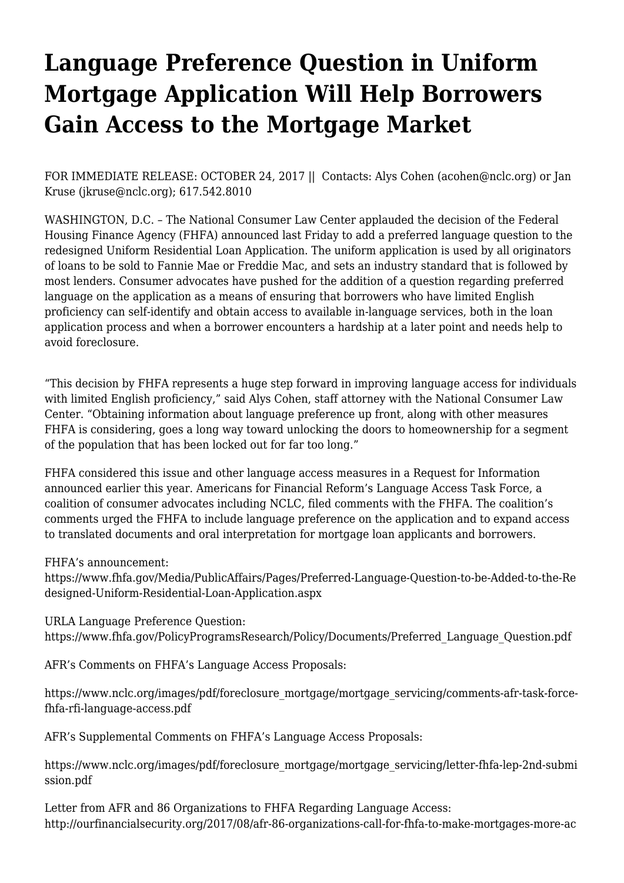## **[Language Preference Question in Uniform](https://www.nclc.org/media-center/language-preference-question-mortg-app.html) [Mortgage Application Will Help Borrowers](https://www.nclc.org/media-center/language-preference-question-mortg-app.html) [Gain Access to the Mortgage Market](https://www.nclc.org/media-center/language-preference-question-mortg-app.html)**

FOR IMMEDIATE RELEASE: OCTOBER 24, 2017 || Contacts: Alys Cohen (acohen@nclc.org) or Jan Kruse (jkruse@nclc.org); 617.542.8010

WASHINGTON, D.C. – The National Consumer Law Center applauded the [decision of the Federal](https://www.fhfa.gov/Media/PublicAffairs/Pages/Preferred-Language-Question-to-be-Added-to-the-Redesigned-Uniform-Residential-Loan-Application.aspx) [Housing Finance Agency \(FHFA\)](https://www.fhfa.gov/Media/PublicAffairs/Pages/Preferred-Language-Question-to-be-Added-to-the-Redesigned-Uniform-Residential-Loan-Application.aspx) announced last Friday to add a preferred language question to the redesigned Uniform Residential Loan Application. The uniform application is used by all originators of loans to be sold to Fannie Mae or Freddie Mac, and sets an industry standard that is followed by most lenders. Consumer advocates have pushed for the addition of a question regarding preferred language on the application as a means of ensuring that borrowers who have limited English proficiency can self-identify and obtain access to available in-language services, both in the loan application process and when a borrower encounters a hardship at a later point and needs help to avoid foreclosure.

"This decision by FHFA represents a huge step forward in improving language access for individuals with limited English proficiency," said Alys Cohen, staff attorney with the National Consumer Law Center. "Obtaining information about language preference up front, along with other measures FHFA is considering, goes a long way toward unlocking the doors to homeownership for a segment of the population that has been locked out for far too long."

FHFA considered this issue and other language access measures in a Request for Information announced earlier this year. Americans for Financial Reform's Language Access Task Force, a coalition of consumer advocates including NCLC, filed comments with the FHFA. The coalition's comments urged the FHFA to include language preference on the application and to expand access to translated documents and oral interpretation for mortgage loan applicants and borrowers.

FHFA's announcement:

[https://www.fhfa.gov/Media/PublicAffairs/Pages/Preferred-Language-Question-to-be-Added-to-the-Re](https://www.fhfa.gov/Media/PublicAffairs/Pages/Preferred-Language-Question-to-be-Added-to-the-Redesigned-Uniform-Residential-Loan-Application.aspx) [designed-Uniform-Residential-Loan-Application.aspx](https://www.fhfa.gov/Media/PublicAffairs/Pages/Preferred-Language-Question-to-be-Added-to-the-Redesigned-Uniform-Residential-Loan-Application.aspx)

URLA Language Preference Question:

[https://www.fhfa.gov/PolicyProgramsResearch/Policy/Documents/Preferred\\_Language\\_Question.pdf](https://www.fhfa.gov/PolicyProgramsResearch/Policy/Documents/Preferred_Language_Question.pdf)

AFR's Comments on FHFA's Language Access Proposals:

[https://www.nclc.org/images/pdf/foreclosure\\_mortgage/mortgage\\_servicing/comments-afr-task-force](https://nclc.org/images/pdf/foreclosure_mortgage/mortgage_servicing/comments-afr-task-force-fhfa-rfi-language-access.pdf)[fhfa-rfi-language-access.pdf](https://nclc.org/images/pdf/foreclosure_mortgage/mortgage_servicing/comments-afr-task-force-fhfa-rfi-language-access.pdf)

AFR's Supplemental Comments on FHFA's Language Access Proposals:

[https://www.nclc.org/images/pdf/foreclosure\\_mortgage/mortgage\\_servicing/letter-fhfa-lep-2nd-submi](https://www.nclc.org/images/pdf/foreclosure_mortgage/mortgage_servicing/letter-fhfa-lep-2nd-submission.pdf) [ssion.pdf](https://www.nclc.org/images/pdf/foreclosure_mortgage/mortgage_servicing/letter-fhfa-lep-2nd-submission.pdf)

Letter from AFR and 86 Organizations to FHFA Regarding Language Access: [http://ourfinancialsecurity.org/2017/08/afr-86-organizations-call-for-fhfa-to-make-mortgages-more-ac](http://ourfinancialsecurity.org/2017/08/afr-86-organizations-call-for-fhfa-to-make-mortgages-more-accessible-to-people-with-limited-english-proficiency/)